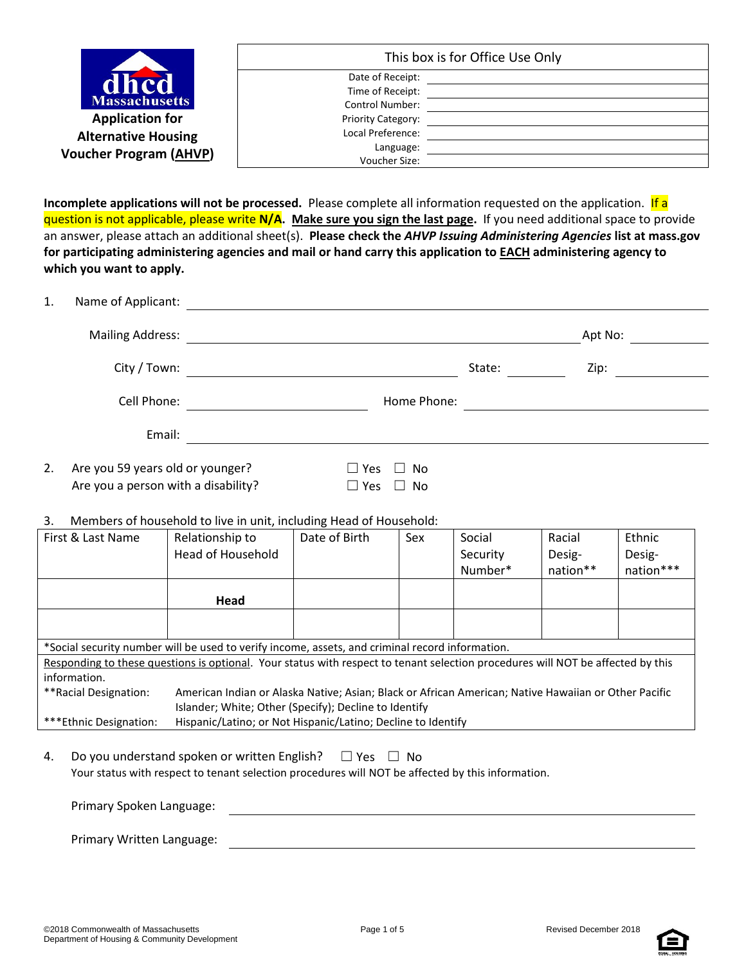|                                                             | This box is for Office Use Only                                |  |
|-------------------------------------------------------------|----------------------------------------------------------------|--|
| dhcd<br><b>Massachusetts</b>                                | Date of Receipt:<br>Time of Receipt:<br><b>Control Number:</b> |  |
| <b>Application for</b>                                      | Priority Category:                                             |  |
| <b>Alternative Housing</b><br><b>Voucher Program (AHVP)</b> | Local Preference:<br>Language:<br>Voucher Size:                |  |

**Incomplete applications will not be processed.** Please complete all information requested on the application. If a question is not applicable, please write **N/A. Make sure you sign the last page.** If you need additional space to provide an answer, please attach an additional sheet(s). **Please check the** *AHVP Issuing Administering Agencies* **list at mass.gov for participating administering agencies and mail or hand carry this application to EACH administering agency to which you want to apply.** 

| 1. | Name of Applicant:                                                      |                                                        |        |         |  |
|----|-------------------------------------------------------------------------|--------------------------------------------------------|--------|---------|--|
|    | <b>Mailing Address:</b>                                                 |                                                        |        | Apt No: |  |
|    | City / Town:                                                            |                                                        | State: | Zip:    |  |
|    | Cell Phone:                                                             | Home Phone:                                            |        |         |  |
|    | Email:                                                                  |                                                        |        |         |  |
| 2. | Are you 59 years old or younger?<br>Are you a person with a disability? | $\Box$ Yes<br>No<br>$\perp$<br>$\Box$ Yes<br><b>No</b> |        |         |  |

3. Members of household to live in unit, including Head of Household:

| First & Last Name                                                                      | Relationship to                                                                                                                 | Date of Birth | Sex | Social   | Racial   | Ethnic    |  |
|----------------------------------------------------------------------------------------|---------------------------------------------------------------------------------------------------------------------------------|---------------|-----|----------|----------|-----------|--|
|                                                                                        | Head of Household                                                                                                               |               |     | Security | Desig-   | Desig-    |  |
|                                                                                        |                                                                                                                                 |               |     | Number*  | nation** | nation*** |  |
|                                                                                        |                                                                                                                                 |               |     |          |          |           |  |
|                                                                                        | Head                                                                                                                            |               |     |          |          |           |  |
|                                                                                        |                                                                                                                                 |               |     |          |          |           |  |
|                                                                                        |                                                                                                                                 |               |     |          |          |           |  |
|                                                                                        | *Social security number will be used to verify income, assets, and criminal record information.                                 |               |     |          |          |           |  |
|                                                                                        | Responding to these questions is optional. Your status with respect to tenant selection procedures will NOT be affected by this |               |     |          |          |           |  |
| information.                                                                           |                                                                                                                                 |               |     |          |          |           |  |
| **Racial Designation:                                                                  | American Indian or Alaska Native; Asian; Black or African American; Native Hawaiian or Other Pacific                            |               |     |          |          |           |  |
|                                                                                        | Islander; White; Other (Specify); Decline to Identify                                                                           |               |     |          |          |           |  |
| Hispanic/Latino; or Not Hispanic/Latino; Decline to Identify<br>***Ethnic Designation: |                                                                                                                                 |               |     |          |          |           |  |

4. Do you understand spoken or written English?  $□$  Yes  $□$  No Your status with respect to tenant selection procedures will NOT be affected by this information.

| Primary Spoken Language:         |  |
|----------------------------------|--|
| <b>Primary Written Language:</b> |  |

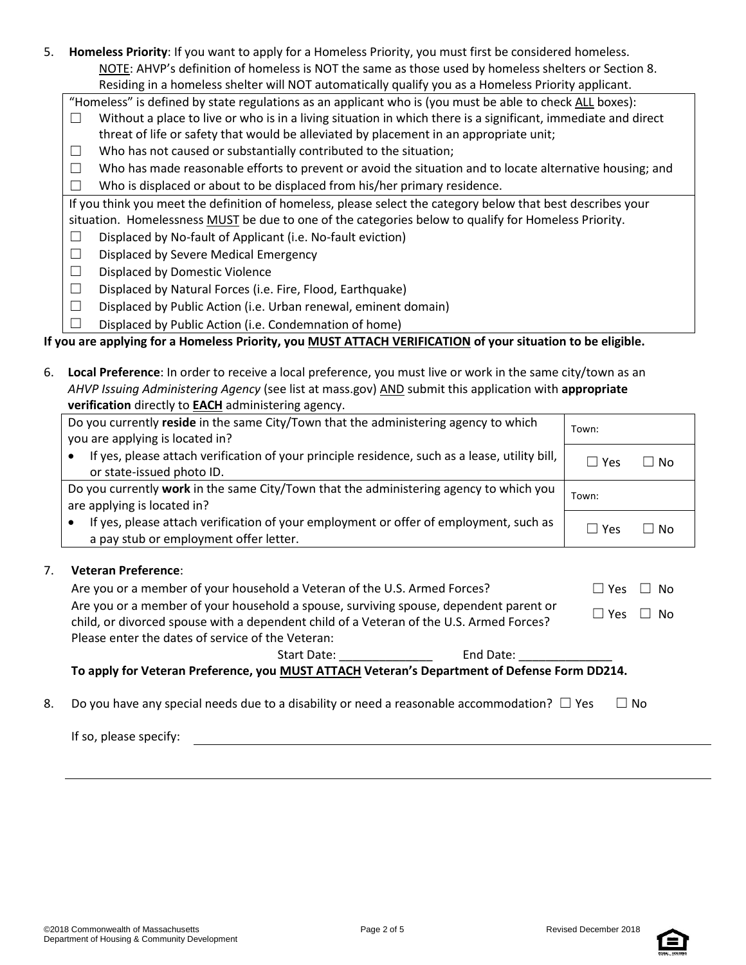5. **Homeless Priority**: If you want to apply for a Homeless Priority, you must first be considered homeless. NOTE: AHVP's definition of homeless is NOT the same as those used by homeless shelters or Section 8. Residing in a homeless shelter will NOT automatically qualify you as a Homeless Priority applicant.

"Homeless" is defined by state regulations as an applicant who is (you must be able to check ALL boxes):

- $\Box$  Without a place to live or who is in a living situation in which there is a significant, immediate and direct threat of life or safety that would be alleviated by placement in an appropriate unit;
- $\Box$  Who has not caused or substantially contributed to the situation;
- $\Box$  Who has made reasonable efforts to prevent or avoid the situation and to locate alternative housing; and
- $\Box$  Who is displaced or about to be displaced from his/her primary residence.

If you think you meet the definition of homeless, please select the category below that best describes your situation. Homelessness MUST be due to one of the categories below to qualify for Homeless Priority.

- $\Box$  Displaced by No-fault of Applicant (i.e. No-fault eviction)
- ☐ Displaced by Severe Medical Emergency
- ☐ Displaced by Domestic Violence
- ☐ Displaced by Natural Forces (i.e. Fire, Flood, Earthquake)
- $\square$  Displaced by Public Action (i.e. Urban renewal, eminent domain)
- $\Box$  Displaced by Public Action (i.e. Condemnation of home)

## **If you are applying for a Homeless Priority, you MUST ATTACH VERIFICATION of your situation to be eligible.**

| 6. | Local Preference: In order to receive a local preference, you must live or work in the same city/town as an |
|----|-------------------------------------------------------------------------------------------------------------|
|    | AHVP Issuing Administering Agency (see list at mass.gov) AND submit this application with appropriate       |
|    | verification directly to <b>EACH</b> administering agency.                                                  |

|    | Do you currently reside in the same City/Town that the administering agency to which<br>you are applying is located in?         | Town:         |        |
|----|---------------------------------------------------------------------------------------------------------------------------------|---------------|--------|
|    | If yes, please attach verification of your principle residence, such as a lease, utility bill,<br>or state-issued photo ID.     | $\Box$ Yes    | ∣ I No |
|    | Do you currently work in the same City/Town that the administering agency to which you<br>are applying is located in?           | Town:         |        |
|    | If yes, please attach verification of your employment or offer of employment, such as<br>a pay stub or employment offer letter. | $\Box$ Yes    | l I No |
| 7. | <b>Veteran Preference:</b>                                                                                                      |               |        |
|    | Are you or a member of your household a Veteran of the U.S. Armed Forces?                                                       | Yes<br>$\Box$ | No.    |
|    | Are you or a member of your household a spouse, surviving spouse, dependent parent or                                           | Yes.          | - No   |

| To apply for Veteran Preference, you MUST ATTACH Veteran's Department of Defense Form DD214. |               |     |  |  |  |  |
|----------------------------------------------------------------------------------------------|---------------|-----|--|--|--|--|
| End Date:<br>Start Date:                                                                     |               |     |  |  |  |  |
| Please enter the dates of service of the Veteran:                                            |               |     |  |  |  |  |
| child, or divorced spouse with a dependent child of a Veteran of the U.S. Armed Forces?      |               |     |  |  |  |  |
| Are you or a member of your nousehold a spouse, surviving spouse, dependent parent or        | $\square$ Yes | No. |  |  |  |  |

8. Do you have any special needs due to a disability or need a reasonable accommodation?  $\Box$  Yes  $\Box$  No

If so, please specify:

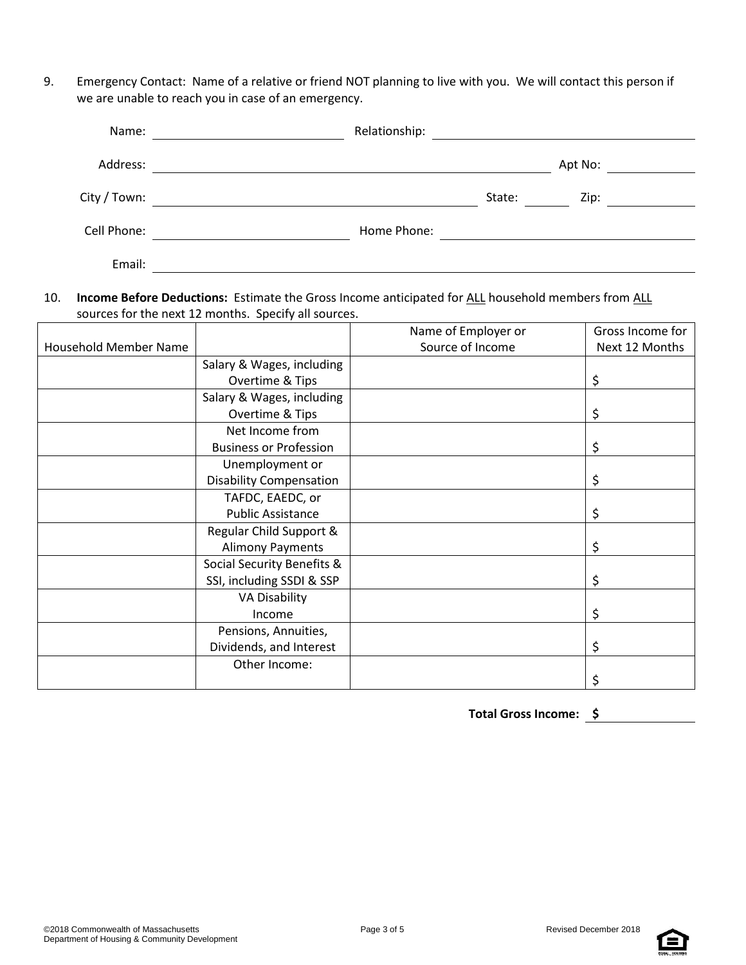9. Emergency Contact: Name of a relative or friend NOT planning to live with you. We will contact this person if we are unable to reach you in case of an emergency.

| Name:        | Relationship: |        |         |  |
|--------------|---------------|--------|---------|--|
| Address:     |               |        | Apt No: |  |
| City / Town: |               | State: | Zip:    |  |
| Cell Phone:  | Home Phone:   |        |         |  |
| Email:       |               |        |         |  |

## 10. **Income Before Deductions:** Estimate the Gross Income anticipated for ALL household members from ALL sources for the next 12 months. Specify all sources.

|                       |                                | Name of Employer or | Gross Income for |
|-----------------------|--------------------------------|---------------------|------------------|
| Household Member Name |                                | Source of Income    | Next 12 Months   |
|                       | Salary & Wages, including      |                     |                  |
|                       | Overtime & Tips                |                     | \$               |
|                       | Salary & Wages, including      |                     |                  |
|                       | Overtime & Tips                |                     | \$               |
|                       | Net Income from                |                     |                  |
|                       | <b>Business or Profession</b>  |                     | \$               |
|                       | Unemployment or                |                     |                  |
|                       | <b>Disability Compensation</b> |                     | \$               |
|                       | TAFDC, EAEDC, or               |                     |                  |
|                       | <b>Public Assistance</b>       |                     | \$               |
|                       | Regular Child Support &        |                     |                  |
|                       | <b>Alimony Payments</b>        |                     | Ş                |
|                       | Social Security Benefits &     |                     |                  |
|                       | SSI, including SSDI & SSP      |                     | \$               |
|                       | <b>VA Disability</b>           |                     |                  |
|                       | Income                         |                     | \$               |
|                       | Pensions, Annuities,           |                     |                  |
|                       | Dividends, and Interest        |                     | \$               |
|                       | Other Income:                  |                     |                  |
|                       |                                |                     |                  |

**Total Gross Income: \$**

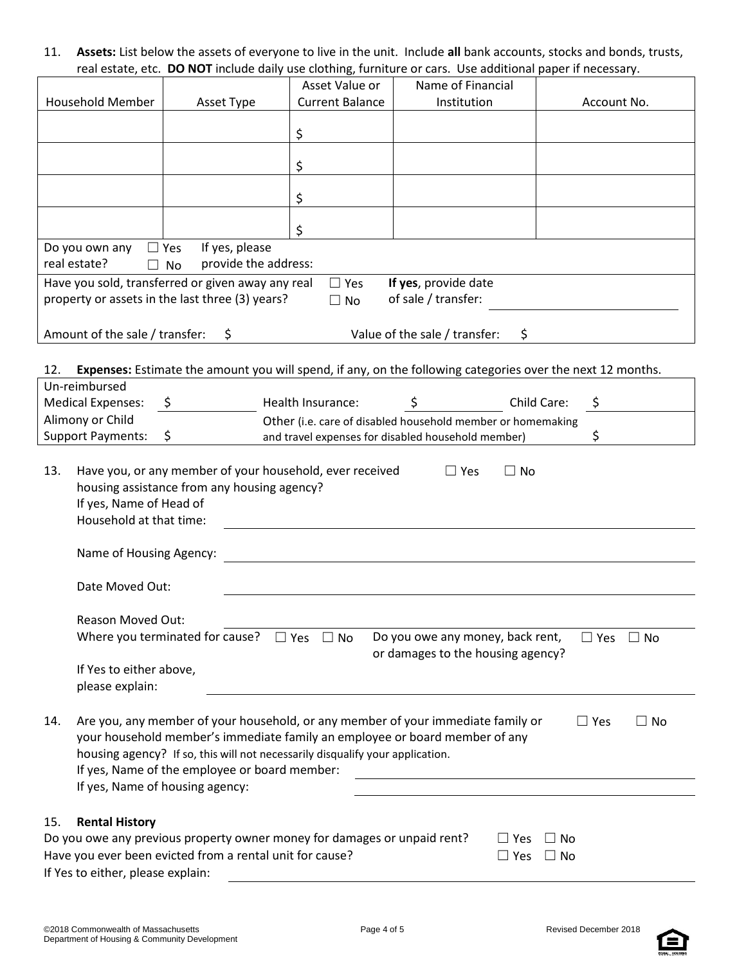11. **Assets:** List below the assets of everyone to live in the unit. Include **all** bank accounts, stocks and bonds, trusts, real estate, etc. **DO NOT** include daily use clothing, furniture or cars. Use additional paper if necessary.

|                                                                                                                                                                                                                                                                                                                                                                           |                                                                                                         | Asset Value or         | Name of Financial                                                                                          |                         |  |  |
|---------------------------------------------------------------------------------------------------------------------------------------------------------------------------------------------------------------------------------------------------------------------------------------------------------------------------------------------------------------------------|---------------------------------------------------------------------------------------------------------|------------------------|------------------------------------------------------------------------------------------------------------|-------------------------|--|--|
| Household Member                                                                                                                                                                                                                                                                                                                                                          | Asset Type                                                                                              | <b>Current Balance</b> | Institution                                                                                                | Account No.             |  |  |
|                                                                                                                                                                                                                                                                                                                                                                           |                                                                                                         |                        |                                                                                                            |                         |  |  |
|                                                                                                                                                                                                                                                                                                                                                                           |                                                                                                         | \$                     |                                                                                                            |                         |  |  |
|                                                                                                                                                                                                                                                                                                                                                                           |                                                                                                         |                        |                                                                                                            |                         |  |  |
|                                                                                                                                                                                                                                                                                                                                                                           |                                                                                                         | \$                     |                                                                                                            |                         |  |  |
|                                                                                                                                                                                                                                                                                                                                                                           |                                                                                                         | \$                     |                                                                                                            |                         |  |  |
|                                                                                                                                                                                                                                                                                                                                                                           |                                                                                                         |                        |                                                                                                            |                         |  |  |
|                                                                                                                                                                                                                                                                                                                                                                           |                                                                                                         | \$                     |                                                                                                            |                         |  |  |
| Do you own any                                                                                                                                                                                                                                                                                                                                                            | If yes, please<br>$\Box$ Yes                                                                            |                        |                                                                                                            |                         |  |  |
| real estate?                                                                                                                                                                                                                                                                                                                                                              | provide the address:<br>$\Box$ No                                                                       |                        |                                                                                                            |                         |  |  |
|                                                                                                                                                                                                                                                                                                                                                                           | Have you sold, transferred or given away any real                                                       | $\Box$ Yes             | If yes, provide date                                                                                       |                         |  |  |
|                                                                                                                                                                                                                                                                                                                                                                           | property or assets in the last three (3) years?                                                         | $\Box$ No              | of sale / transfer:                                                                                        |                         |  |  |
|                                                                                                                                                                                                                                                                                                                                                                           |                                                                                                         |                        |                                                                                                            |                         |  |  |
| Amount of the sale / transfer:                                                                                                                                                                                                                                                                                                                                            | \$.                                                                                                     |                        | Value of the sale / transfer:<br>\$                                                                        |                         |  |  |
|                                                                                                                                                                                                                                                                                                                                                                           |                                                                                                         |                        |                                                                                                            |                         |  |  |
| 12.                                                                                                                                                                                                                                                                                                                                                                       |                                                                                                         |                        | Expenses: Estimate the amount you will spend, if any, on the following categories over the next 12 months. |                         |  |  |
| Un-reimbursed                                                                                                                                                                                                                                                                                                                                                             |                                                                                                         |                        |                                                                                                            |                         |  |  |
| <b>Medical Expenses:</b>                                                                                                                                                                                                                                                                                                                                                  | - \$                                                                                                    | Health Insurance:      | $\zeta$                                                                                                    | Child Care:<br>$\zeta$  |  |  |
| Alimony or Child                                                                                                                                                                                                                                                                                                                                                          |                                                                                                         |                        | Other (i.e. care of disabled household member or homemaking                                                |                         |  |  |
| <b>Support Payments:</b>                                                                                                                                                                                                                                                                                                                                                  | \$                                                                                                      |                        | and travel expenses for disabled household member)                                                         | \$                      |  |  |
| 13.<br>If yes, Name of Head of<br>Household at that time:                                                                                                                                                                                                                                                                                                                 | Have you, or any member of your household, ever received<br>housing assistance from any housing agency? |                        | $\Box$ Yes<br>No<br>$\Box$                                                                                 |                         |  |  |
| Name of Housing Agency:                                                                                                                                                                                                                                                                                                                                                   |                                                                                                         |                        |                                                                                                            |                         |  |  |
|                                                                                                                                                                                                                                                                                                                                                                           |                                                                                                         |                        |                                                                                                            |                         |  |  |
| Date Moved Out:                                                                                                                                                                                                                                                                                                                                                           |                                                                                                         |                        |                                                                                                            |                         |  |  |
|                                                                                                                                                                                                                                                                                                                                                                           |                                                                                                         |                        |                                                                                                            |                         |  |  |
| Reason Moved Out:                                                                                                                                                                                                                                                                                                                                                         |                                                                                                         |                        |                                                                                                            |                         |  |  |
|                                                                                                                                                                                                                                                                                                                                                                           | Where you terminated for cause? $\Box$ Yes                                                              | $\Box$ No              | Do you owe any money, back rent,<br>or damages to the housing agency?                                      | $\Box$ Yes<br>$\Box$ No |  |  |
| If Yes to either above,                                                                                                                                                                                                                                                                                                                                                   |                                                                                                         |                        |                                                                                                            |                         |  |  |
| please explain:                                                                                                                                                                                                                                                                                                                                                           |                                                                                                         |                        |                                                                                                            |                         |  |  |
| Are you, any member of your household, or any member of your immediate family or<br>14.<br>$\Box$ Yes<br>$\square$ No<br>your household member's immediate family an employee or board member of any<br>housing agency? If so, this will not necessarily disqualify your application.<br>If yes, Name of the employee or board member:<br>If yes, Name of housing agency: |                                                                                                         |                        |                                                                                                            |                         |  |  |
|                                                                                                                                                                                                                                                                                                                                                                           |                                                                                                         |                        |                                                                                                            |                         |  |  |
| <b>Rental History</b><br>15.                                                                                                                                                                                                                                                                                                                                              |                                                                                                         |                        |                                                                                                            |                         |  |  |
|                                                                                                                                                                                                                                                                                                                                                                           | Do you owe any previous property owner money for damages or unpaid rent?                                |                        | $\Box$ Yes                                                                                                 | ∟ No                    |  |  |
|                                                                                                                                                                                                                                                                                                                                                                           | Have you ever been evicted from a rental unit for cause?                                                |                        | $\Box$ Yes                                                                                                 | ⊿ No                    |  |  |
| If Yes to either, please explain:                                                                                                                                                                                                                                                                                                                                         |                                                                                                         |                        |                                                                                                            |                         |  |  |